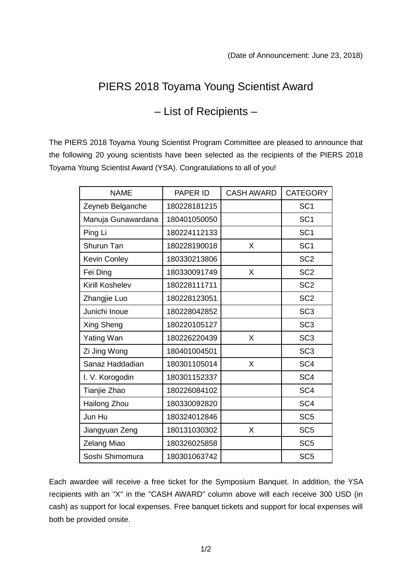## PIERS 2018 Toyama Young Scientist Award

## – List of Recipients –

The PIERS 2018 Toyama Young Scientist Program Committee are pleased to announce that the following 20 young scientists have been selected as the recipients of the PIERS 2018 Toyama Young Scientist Award (YSA). Congratulations to all of you!

| <b>NAME</b>         | PAPER ID     | <b>CASH AWARD</b> | <b>CATEGORY</b> |
|---------------------|--------------|-------------------|-----------------|
| Zeyneb Belganche    | 180228181215 |                   | SC <sub>1</sub> |
| Manuja Gunawardana  | 180401050050 |                   | SC <sub>1</sub> |
| Ping Li             | 180224112133 |                   | SC <sub>1</sub> |
| Shurun Tan          | 180228190018 | X                 | SC <sub>1</sub> |
| <b>Kevin Conley</b> | 180330213806 |                   | SC <sub>2</sub> |
| Fei Ding            | 180330091749 | X                 | SC <sub>2</sub> |
| Kirill Koshelev     | 180228111711 |                   | SC <sub>2</sub> |
| Zhangjie Luo        | 180228123051 |                   | SC <sub>2</sub> |
| Junichi Inoue       | 180228042852 |                   | SC <sub>3</sub> |
| Xing Sheng          | 180220105127 |                   | SC <sub>3</sub> |
| <b>Yating Wan</b>   | 180226220439 | X                 | SC <sub>3</sub> |
| Zi Jing Wong        | 180401004501 |                   | SC <sub>3</sub> |
| Sanaz Haddadian     | 180301105014 | X                 | SC <sub>4</sub> |
| I. V. Korogodin     | 180301152337 |                   | SC <sub>4</sub> |
| Tianjie Zhao        | 180226084102 |                   | SC <sub>4</sub> |
| Hailong Zhou        | 180330092820 |                   | SC <sub>4</sub> |
| Jun Hu              | 180324012846 |                   | SC <sub>5</sub> |
| Jiangyuan Zeng      | 180131030302 | X                 | SC <sub>5</sub> |
| Zelang Miao         | 180326025858 |                   | SC <sub>5</sub> |
| Soshi Shimomura     | 180301063742 |                   | SC <sub>5</sub> |

Each awardee will receive a free ticket for the Symposium Banquet. In addition, the YSA recipients with an "X" in the "CASH AWARD" column above will each receive 300 USD (in cash) as support for local expenses. Free banquet tickets and support for local expenses will both be provided onsite.